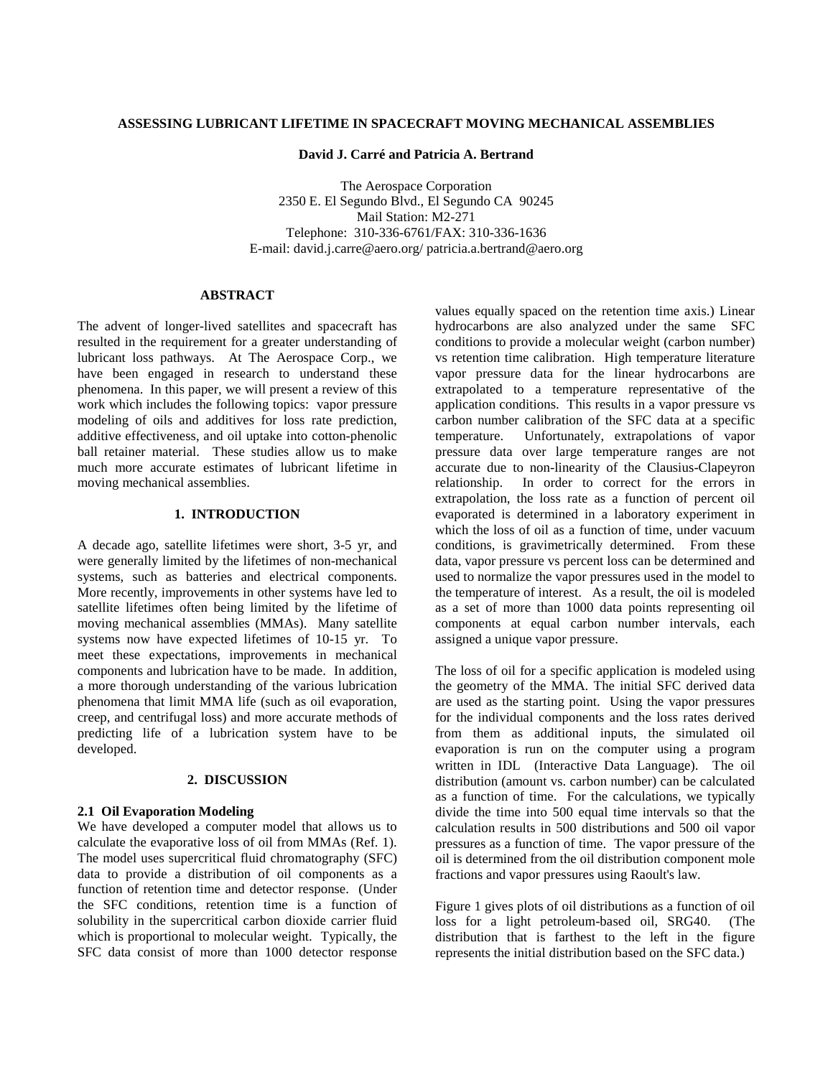# **ASSESSING LUBRICANT LIFETIME IN SPACECRAFT MOVING MECHANICAL ASSEMBLIES**

#### **David J. Carré and Patricia A. Bertrand**

The Aerospace Corporation 2350 E. El Segundo Blvd., El Segundo CA 90245 Mail Station: M2-271 Telephone: 310-336-6761/FAX: 310-336-1636 E-mail: david.j.carre@aero.org/ patricia.a.bertrand@aero.org

# **ABSTRACT**

The advent of longer-lived satellites and spacecraft has resulted in the requirement for a greater understanding of lubricant loss pathways. At The Aerospace Corp., we have been engaged in research to understand these phenomena. In this paper, we will present a review of this work which includes the following topics: vapor pressure modeling of oils and additives for loss rate prediction, additive effectiveness, and oil uptake into cotton-phenolic ball retainer material. These studies allow us to make much more accurate estimates of lubricant lifetime in moving mechanical assemblies.

# **1. INTRODUCTION**

A decade ago, satellite lifetimes were short, 3-5 yr, and were generally limited by the lifetimes of non-mechanical systems, such as batteries and electrical components. More recently, improvements in other systems have led to satellite lifetimes often being limited by the lifetime of moving mechanical assemblies (MMAs). Many satellite systems now have expected lifetimes of 10-15 yr. To meet these expectations, improvements in mechanical components and lubrication have to be made. In addition, a more thorough understanding of the various lubrication phenomena that limit MMA life (such as oil evaporation, creep, and centrifugal loss) and more accurate methods of predicting life of a lubrication system have to be developed.

# **2. DISCUSSION**

### **2.1 Oil Evaporation Modeling**

We have developed a computer model that allows us to calculate the evaporative loss of oil from MMAs (Ref. 1). The model uses supercritical fluid chromatography (SFC) data to provide a distribution of oil components as a function of retention time and detector response. (Under the SFC conditions, retention time is a function of solubility in the supercritical carbon dioxide carrier fluid which is proportional to molecular weight. Typically, the SFC data consist of more than 1000 detector response

values equally spaced on the retention time axis.) Linear hydrocarbons are also analyzed under the same SFC conditions to provide a molecular weight (carbon number) vs retention time calibration. High temperature literature vapor pressure data for the linear hydrocarbons are extrapolated to a temperature representative of the application conditions. This results in a vapor pressure vs carbon number calibration of the SFC data at a specific temperature. Unfortunately, extrapolations of vapor pressure data over large temperature ranges are not accurate due to non-linearity of the Clausius-Clapeyron relationship. In order to correct for the errors in extrapolation, the loss rate as a function of percent oil evaporated is determined in a laboratory experiment in which the loss of oil as a function of time, under vacuum conditions, is gravimetrically determined. From these data, vapor pressure vs percent loss can be determined and used to normalize the vapor pressures used in the model to the temperature of interest. As a result, the oil is modeled as a set of more than 1000 data points representing oil components at equal carbon number intervals, each assigned a unique vapor pressure.

The loss of oil for a specific application is modeled using the geometry of the MMA. The initial SFC derived data are used as the starting point. Using the vapor pressures for the individual components and the loss rates derived from them as additional inputs, the simulated oil evaporation is run on the computer using a program written in  $IDL^{\circledR}$  (Interactive Data Language). The oil distribution (amount vs. carbon number) can be calculated as a function of time. For the calculations, we typically divide the time into 500 equal time intervals so that the calculation results in 500 distributions and 500 oil vapor pressures as a function of time. The vapor pressure of the oil is determined from the oil distribution component mole fractions and vapor pressures using Raoult's law.

Figure 1 gives plots of oil distributions as a function of oil loss for a light petroleum-based oil, SRG40. (The distribution that is farthest to the left in the figure represents the initial distribution based on the SFC data.)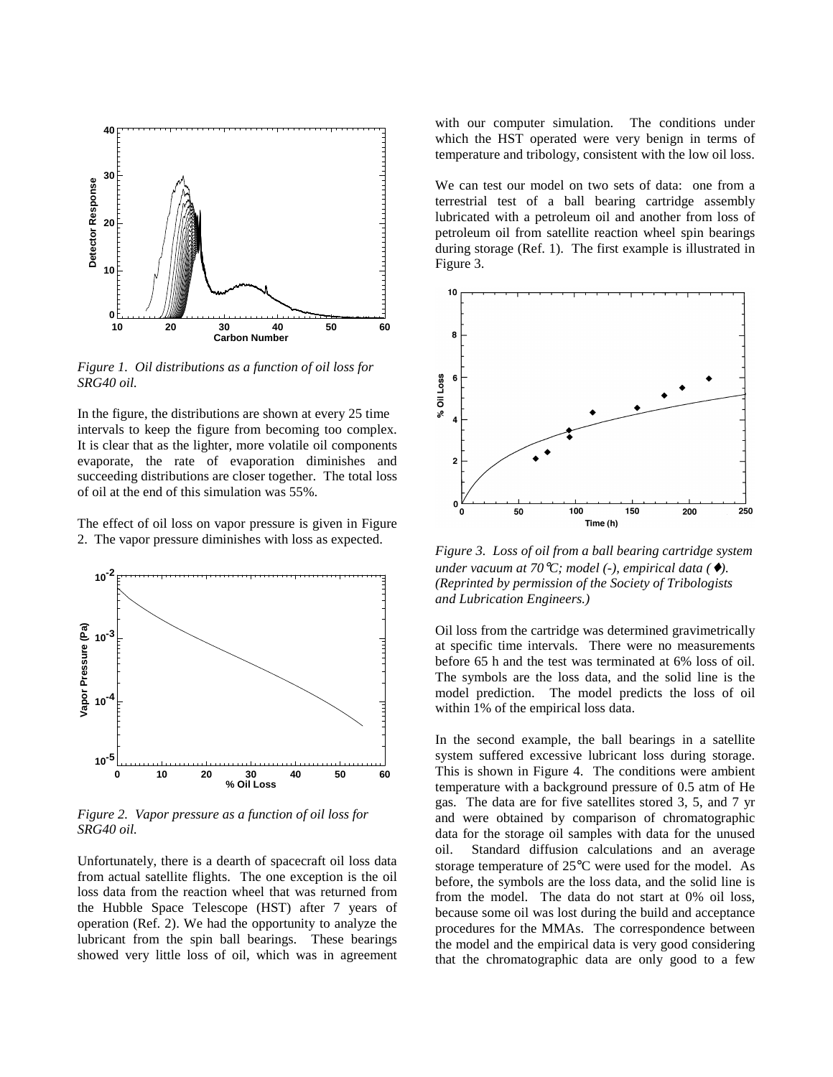

*Figure 1. Oil distributions as a function of oil loss for SRG40 oil.*

In the figure, the distributions are shown at every 25 time intervals to keep the figure from becoming too complex. It is clear that as the lighter, more volatile oil components evaporate, the rate of evaporation diminishes and succeeding distributions are closer together. The total loss of oil at the end of this simulation was 55%.

The effect of oil loss on vapor pressure is given in Figure 2. The vapor pressure diminishes with loss as expected.



*Figure 2. Vapor pressure as a function of oil loss for SRG40 oil.*

Unfortunately, there is a dearth of spacecraft oil loss data from actual satellite flights. The one exception is the oil loss data from the reaction wheel that was returned from the Hubble Space Telescope (HST) after 7 years of operation (Ref. 2). We had the opportunity to analyze the lubricant from the spin ball bearings. These bearings showed very little loss of oil, which was in agreement

with our computer simulation. The conditions under which the HST operated were very benign in terms of temperature and tribology, consistent with the low oil loss.

We can test our model on two sets of data: one from a terrestrial test of a ball bearing cartridge assembly lubricated with a petroleum oil and another from loss of petroleum oil from satellite reaction wheel spin bearings during storage (Ref. 1). The first example is illustrated in Figure 3.



*Figure 3. Loss of oil from a ball bearing cartridge system under vacuum at 70*°*C; model (-), empirical data (*♦*). (Reprinted by permission of the Society of Tribologists and Lubrication Engineers.)*

Oil loss from the cartridge was determined gravimetrically at specific time intervals. There were no measurements before 65 h and the test was terminated at 6% loss of oil. The symbols are the loss data, and the solid line is the model prediction. The model predicts the loss of oil within 1% of the empirical loss data.

In the second example, the ball bearings in a satellite system suffered excessive lubricant loss during storage. This is shown in Figure 4. The conditions were ambient temperature with a background pressure of 0.5 atm of He gas. The data are for five satellites stored 3, 5, and 7 yr and were obtained by comparison of chromatographic data for the storage oil samples with data for the unused oil. Standard diffusion calculations and an average storage temperature of 25°C were used for the model. As before, the symbols are the loss data, and the solid line is from the model. The data do not start at 0% oil loss, because some oil was lost during the build and acceptance procedures for the MMAs. The correspondence between the model and the empirical data is very good considering that the chromatographic data are only good to a few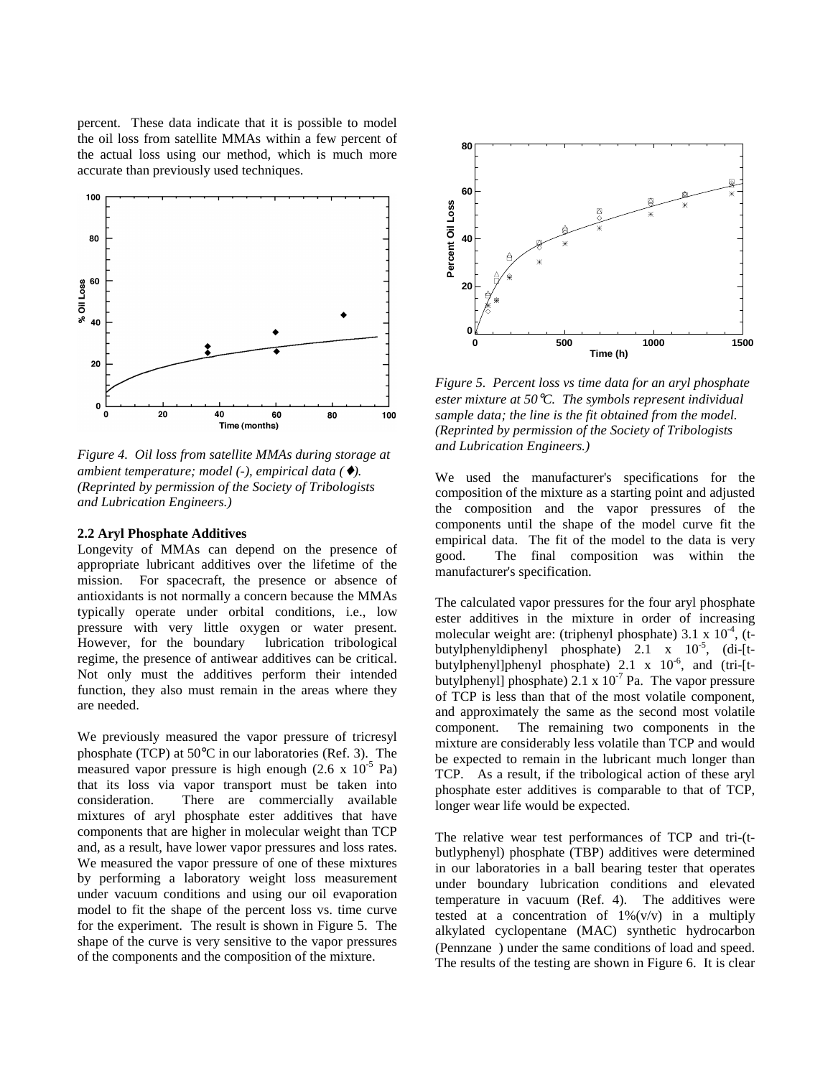percent. These data indicate that it is possible to model the oil loss from satellite MMAs within a few percent of the actual loss using our method, which is much more accurate than previously used techniques.



*Figure 4. Oil loss from satellite MMAs during storage at ambient temperature; model (-), empirical data (*♦*). (Reprinted by permission of the Society of Tribologists and Lubrication Engineers.)*

### **2.2 Aryl Phosphate Additives**

Longevity of MMAs can depend on the presence of appropriate lubricant additives over the lifetime of the mission. For spacecraft, the presence or absence of antioxidants is not normally a concern because the MMAs typically operate under orbital conditions, i.e., low pressure with very little oxygen or water present. However, for the boundary lubrication tribological regime, the presence of antiwear additives can be critical. Not only must the additives perform their intended function, they also must remain in the areas where they are needed.

We previously measured the vapor pressure of tricresyl phosphate (TCP) at 50°C in our laboratories (Ref. 3). The measured vapor pressure is high enough  $(2.6 \times 10^{-5} \text{ Pa})$ that its loss via vapor transport must be taken into consideration. There are commercially available mixtures of aryl phosphate ester additives that have components that are higher in molecular weight than TCP and, as a result, have lower vapor pressures and loss rates. We measured the vapor pressure of one of these mixtures by performing a laboratory weight loss measurement under vacuum conditions and using our oil evaporation model to fit the shape of the percent loss vs. time curve for the experiment. The result is shown in Figure 5. The shape of the curve is very sensitive to the vapor pressures of the components and the composition of the mixture.



*Figure 5. Percent loss vs time data for an aryl phosphate ester mixture at 50*°*C. The symbols represent individual sample data; the line is the fit obtained from the model. (Reprinted by permission of the Society of Tribologists and Lubrication Engineers.)*

We used the manufacturer's specifications for the composition of the mixture as a starting point and adjusted the composition and the vapor pressures of the components until the shape of the model curve fit the empirical data. The fit of the model to the data is very good. The final composition was within the manufacturer's specification.

The calculated vapor pressures for the four aryl phosphate ester additives in the mixture in order of increasing molecular weight are: (triphenyl phosphate) 3.1 x  $10^{-4}$ , (tbutylphenyldiphenyl phosphate)  $2.1 \times 10^{-5}$ , (di-[tbutylphenyl]phenyl phosphate) 2.1 x 10<sup>-6</sup>, and (tri-[tbutylphenyl] phosphate)  $2.1 \times 10^{-7}$  Pa. The vapor pressure of TCP is less than that of the most volatile component, and approximately the same as the second most volatile component. The remaining two components in the mixture are considerably less volatile than TCP and would be expected to remain in the lubricant much longer than TCP. As a result, if the tribological action of these aryl phosphate ester additives is comparable to that of TCP, longer wear life would be expected.

The relative wear test performances of TCP and tri-(tbutlyphenyl) phosphate (TBP) additives were determined in our laboratories in a ball bearing tester that operates under boundary lubrication conditions and elevated temperature in vacuum (Ref. 4). The additives were tested at a concentration of  $1\%$  (v/v) in a multiply alkylated cyclopentane (MAC) synthetic hydrocarbon (Pennzane<sup>®</sup>) under the same conditions of load and speed. The results of the testing are shown in Figure 6. It is clear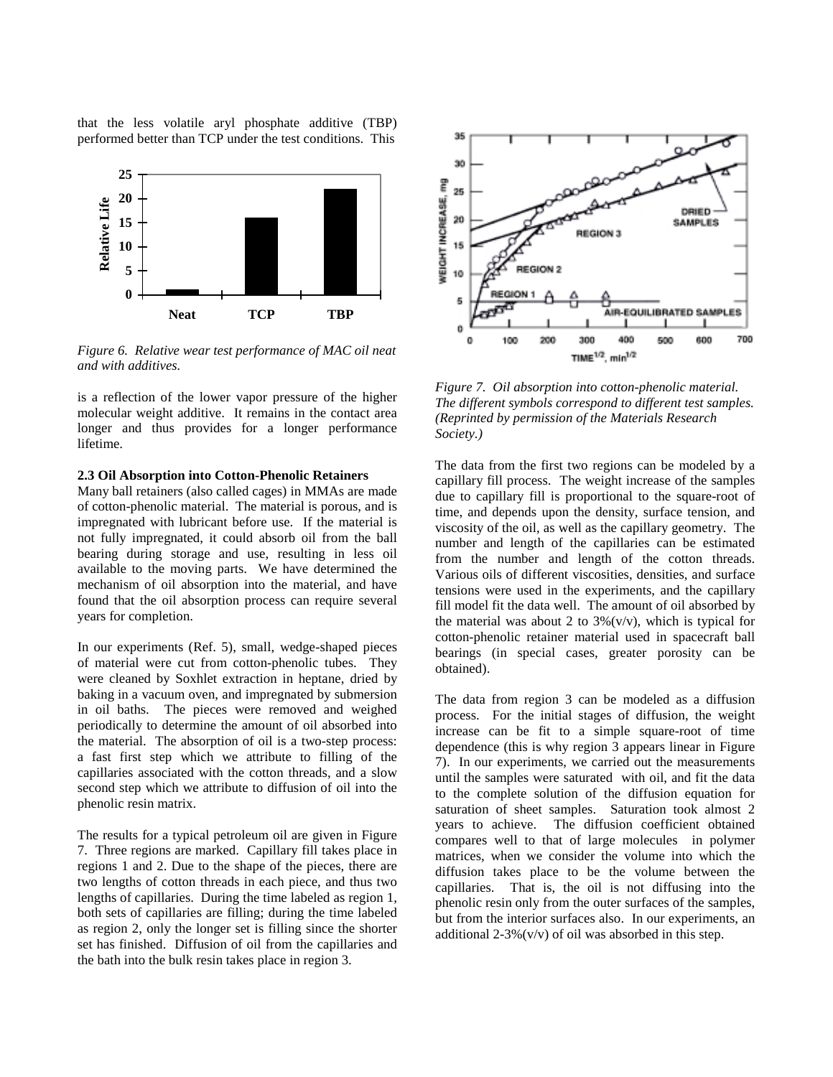that the less volatile aryl phosphate additive (TBP) performed better than TCP under the test conditions. This



*Figure 6. Relative wear test performance of MAC oil neat and with additives.*

is a reflection of the lower vapor pressure of the higher molecular weight additive. It remains in the contact area longer and thus provides for a longer performance lifetime.

### **2.3 Oil Absorption into Cotton-Phenolic Retainers**

Many ball retainers (also called cages) in MMAs are made of cotton-phenolic material. The material is porous, and is impregnated with lubricant before use. If the material is not fully impregnated, it could absorb oil from the ball bearing during storage and use, resulting in less oil available to the moving parts. We have determined the mechanism of oil absorption into the material, and have found that the oil absorption process can require several years for completion.

In our experiments (Ref. 5), small, wedge-shaped pieces of material were cut from cotton-phenolic tubes. They were cleaned by Soxhlet extraction in heptane, dried by baking in a vacuum oven, and impregnated by submersion in oil baths. The pieces were removed and weighed periodically to determine the amount of oil absorbed into the material. The absorption of oil is a two-step process: a fast first step which we attribute to filling of the capillaries associated with the cotton threads, and a slow second step which we attribute to diffusion of oil into the phenolic resin matrix.

The results for a typical petroleum oil are given in Figure 7. Three regions are marked. Capillary fill takes place in regions 1 and 2. Due to the shape of the pieces, there are two lengths of cotton threads in each piece, and thus two lengths of capillaries. During the time labeled as region 1, both sets of capillaries are filling; during the time labeled as region 2, only the longer set is filling since the shorter set has finished. Diffusion of oil from the capillaries and the bath into the bulk resin takes place in region 3.



*Figure 7. Oil absorption into cotton-phenolic material. The different symbols correspond to different test samples. (Reprinted by permission of the Materials Research Society.)*

The data from the first two regions can be modeled by a capillary fill process. The weight increase of the samples due to capillary fill is proportional to the square-root of time, and depends upon the density, surface tension, and viscosity of the oil, as well as the capillary geometry. The number and length of the capillaries can be estimated from the number and length of the cotton threads. Various oils of different viscosities, densities, and surface tensions were used in the experiments, and the capillary fill model fit the data well. The amount of oil absorbed by the material was about 2 to  $3\frac{6}{v/v}$ , which is typical for cotton-phenolic retainer material used in spacecraft ball bearings (in special cases, greater porosity can be obtained).

The data from region 3 can be modeled as a diffusion process. For the initial stages of diffusion, the weight increase can be fit to a simple square-root of time dependence (this is why region 3 appears linear in Figure 7). In our experiments, we carried out the measurements until the samples were saturated with oil, and fit the data to the complete solution of the diffusion equation for saturation of sheet samples. Saturation took almost 2 years to achieve. The diffusion coefficient obtained compares well to that of large molecules in polymer matrices, when we consider the volume into which the diffusion takes place to be the volume between the capillaries. That is, the oil is not diffusing into the phenolic resin only from the outer surfaces of the samples, but from the interior surfaces also. In our experiments, an additional  $2-3\%$  (v/v) of oil was absorbed in this step.